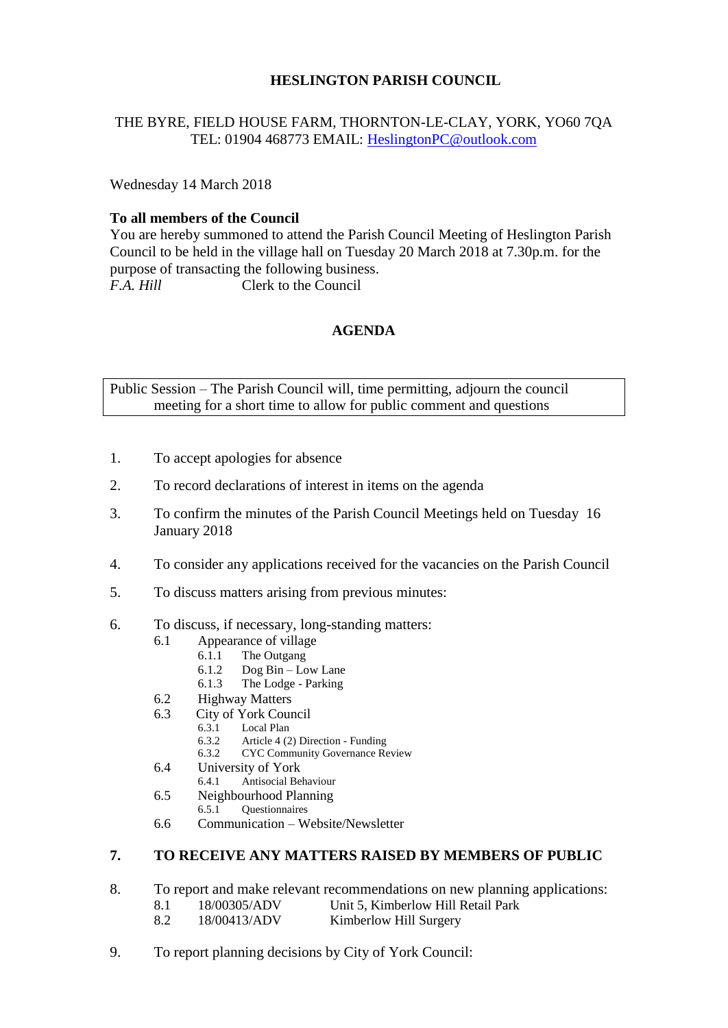# **HESLINGTON PARISH COUNCIL**

# THE BYRE, FIELD HOUSE FARM, THORNTON-LE-CLAY, YORK, YO60 7QA TEL: 01904 468773 EMAIL: [HeslingtonPC@outlook.com](mailto:HeslingtonPC@outlook.com)

Wednesday 14 March 2018

### **To all members of the Council**

You are hereby summoned to attend the Parish Council Meeting of Heslington Parish Council to be held in the village hall on Tuesday 20 March 2018 at 7.30p.m. for the purpose of transacting the following business. *F.A. Hill* Clerk to the Council

### **AGENDA**

Public Session – The Parish Council will, time permitting, adjourn the council meeting for a short time to allow for public comment and questions

- 1. To accept apologies for absence
- 2. To record declarations of interest in items on the agenda
- 3. To confirm the minutes of the Parish Council Meetings held on Tuesday 16 January 2018
- 4. To consider any applications received for the vacancies on the Parish Council
- 5. To discuss matters arising from previous minutes:
- 6. To discuss, if necessary, long-standing matters:
	- 6.1 Appearance of village
		- 6.1.1 The Outgang
		- 6.1.2 Dog Bin Low Lane<br>6.1.3 The Lodge Parking
		- The Lodge Parking
	- 6.2 Highway Matters
	- 6.3 City of York Council
		- 6.3.1 Local Plan<br>6.3.2 Article 4 (2
		- 6.3.2 Article 4 (2) Direction Funding
		- 6.3.2 CYC Community Governance Review
	- 6.4 University of York<br>6.4.1 Antisocial Be
		- 6.4.1 Antisocial Behaviour
	- 6.5 Neighbourhood Planning<br>6.5.1 Ouestionnaires
		- 6.5.1 Questionnaires
	- 6.6 Communication Website/Newsletter

# **7. TO RECEIVE ANY MATTERS RAISED BY MEMBERS OF PUBLIC**

- 8. To report and make relevant recommendations on new planning applications:
	- 8.1 18/00305/ADV Unit 5, Kimberlow Hill Retail Park
	- 8.2 18/00413/ADV Kimberlow Hill Surgery
- 9. To report planning decisions by City of York Council: